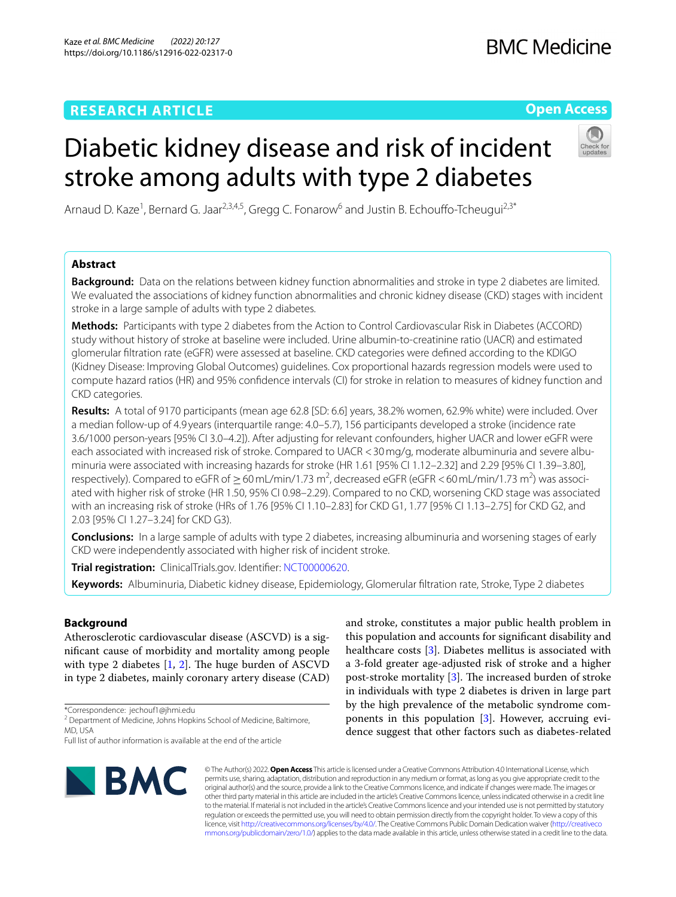# **RESEARCH ARTICLE**

# **BMC Medicine**

# **Open Access**

Arnaud D. Kaze<sup>1</sup>, Bernard G. Jaar<sup>2,3,4,5</sup>, Gregg C. Fonarow<sup>6</sup> and Justin B. Echouffo-Tcheugui<sup>2,3\*</sup>

stroke among adults with type 2 diabetes

Diabetic kidney disease and risk of incident

# **Abstract**

**Background:** Data on the relations between kidney function abnormalities and stroke in type 2 diabetes are limited. We evaluated the associations of kidney function abnormalities and chronic kidney disease (CKD) stages with incident stroke in a large sample of adults with type 2 diabetes.

**Methods:** Participants with type 2 diabetes from the Action to Control Cardiovascular Risk in Diabetes (ACCORD) study without history of stroke at baseline were included. Urine albumin-to-creatinine ratio (UACR) and estimated glomerular fltration rate (eGFR) were assessed at baseline. CKD categories were defned according to the KDIGO (Kidney Disease: Improving Global Outcomes) guidelines. Cox proportional hazards regression models were used to compute hazard ratios (HR) and 95% confdence intervals (CI) for stroke in relation to measures of kidney function and CKD categories.

**Results:** A total of 9170 participants (mean age 62.8 [SD: 6.6] years, 38.2% women, 62.9% white) were included. Over a median follow-up of 4.9 years (interquartile range: 4.0–5.7), 156 participants developed a stroke (incidence rate 3.6/1000 person-years [95% CI 3.0–4.2]). After adjusting for relevant confounders, higher UACR and lower eGFR were each associated with increased risk of stroke. Compared to UACR < 30 mg/g, moderate albuminuria and severe albuminuria were associated with increasing hazards for stroke (HR 1.61 [95% CI 1.12–2.32] and 2.29 [95% CI 1.39–3.80], respectively). Compared to eGFR of  $\geq$  60 mL/min/1.73 m<sup>2</sup>, decreased eGFR (eGFR < 60 mL/min/1.73 m<sup>2</sup>) was associated with higher risk of stroke (HR 1.50, 95% CI 0.98–2.29). Compared to no CKD, worsening CKD stage was associated with an increasing risk of stroke (HRs of 1.76 [95% CI 1.10–2.83] for CKD G1, 1.77 [95% CI 1.13–2.75] for CKD G2, and 2.03 [95% CI 1.27–3.24] for CKD G3).

**Conclusions:** In a large sample of adults with type 2 diabetes, increasing albuminuria and worsening stages of early CKD were independently associated with higher risk of incident stroke.

**Trial registration:** ClinicalTrials.gov. Identifer: [NCT00000620](https://clinicaltrials.gov/ct2/show/NCT00000620).

**Keywords:** Albuminuria, Diabetic kidney disease, Epidemiology, Glomerular fltration rate, Stroke, Type 2 diabetes

# **Background**

Atherosclerotic cardiovascular disease (ASCVD) is a signifcant cause of morbidity and mortality among people with type 2 diabetes  $[1, 2]$  $[1, 2]$  $[1, 2]$ . The huge burden of ASCVD in type 2 diabetes, mainly coronary artery disease (CAD)

\*Correspondence: jechouf1@jhmi.edu

<sup>2</sup> Department of Medicine, Johns Hopkins School of Medicine, Baltimore, MD, USA

Full list of author information is available at the end of the article



and stroke, constitutes a major public health problem in this population and accounts for signifcant disability and healthcare costs [\[3](#page-8-2)]. Diabetes mellitus is associated with a 3-fold greater age-adjusted risk of stroke and a higher post-stroke mortality  $[3]$  $[3]$  $[3]$ . The increased burden of stroke in individuals with type 2 diabetes is driven in large part by the high prevalence of the metabolic syndrome components in this population [[3\]](#page-8-2). However, accruing evidence suggest that other factors such as diabetes-related

© The Author(s) 2022. **Open Access** This article is licensed under a Creative Commons Attribution 4.0 International License, which permits use, sharing, adaptation, distribution and reproduction in any medium or format, as long as you give appropriate credit to the original author(s) and the source, provide a link to the Creative Commons licence, and indicate if changes were made. The images or other third party material in this article are included in the article's Creative Commons licence, unless indicated otherwise in a credit line to the material. If material is not included in the article's Creative Commons licence and your intended use is not permitted by statutory regulation or exceeds the permitted use, you will need to obtain permission directly from the copyright holder. To view a copy of this licence, visit [http://creativecommons.org/licenses/by/4.0/.](http://creativecommons.org/licenses/by/4.0/) The Creative Commons Public Domain Dedication waiver ([http://creativeco](http://creativecommons.org/publicdomain/zero/1.0/) [mmons.org/publicdomain/zero/1.0/](http://creativecommons.org/publicdomain/zero/1.0/)) applies to the data made available in this article, unless otherwise stated in a credit line to the data.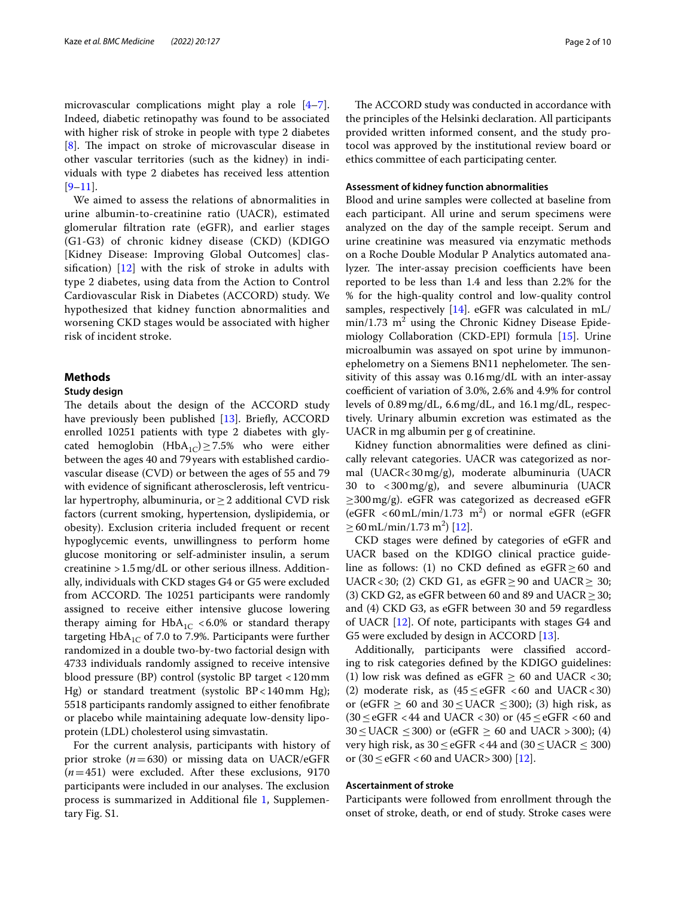microvascular complications might play a role [\[4](#page-8-3)[–7](#page-8-4)]. Indeed, diabetic retinopathy was found to be associated with higher risk of stroke in people with type 2 diabetes [[8\]](#page-8-5). The impact on stroke of microvascular disease in other vascular territories (such as the kidney) in individuals with type 2 diabetes has received less attention  $[9-11]$  $[9-11]$ .

We aimed to assess the relations of abnormalities in urine albumin-to-creatinine ratio (UACR), estimated glomerular fltration rate (eGFR), and earlier stages (G1-G3) of chronic kidney disease (CKD) (KDIGO [Kidney Disease: Improving Global Outcomes] classification)  $\begin{bmatrix} 12 \\ 1 \end{bmatrix}$  with the risk of stroke in adults with type 2 diabetes, using data from the Action to Control Cardiovascular Risk in Diabetes (ACCORD) study. We hypothesized that kidney function abnormalities and worsening CKD stages would be associated with higher risk of incident stroke.

# **Methods**

#### **Study design**

The details about the design of the ACCORD study have previously been published [\[13\]](#page-9-3). Briefly, ACCORD enrolled 10251 patients with type 2 diabetes with glycated hemoglobin  $(HbA_{1C}) \ge 7.5%$  who were either between the ages 40 and 79years with established cardiovascular disease (CVD) or between the ages of 55 and 79 with evidence of signifcant atherosclerosis, left ventricular hypertrophy, albuminuria, or  $\geq 2$  additional CVD risk factors (current smoking, hypertension, dyslipidemia, or obesity). Exclusion criteria included frequent or recent hypoglycemic events, unwillingness to perform home glucose monitoring or self-administer insulin, a serum creatinine >1.5mg/dL or other serious illness. Additionally, individuals with CKD stages G4 or G5 were excluded from ACCORD. The 10251 participants were randomly assigned to receive either intensive glucose lowering therapy aiming for  $HbA_{1C}$  <6.0% or standard therapy targeting  $HbA_{1C}$  of 7.0 to 7.9%. Participants were further randomized in a double two-by-two factorial design with 4733 individuals randomly assigned to receive intensive blood pressure (BP) control (systolic BP target <120mm Hg) or standard treatment (systolic BP<140mm Hg); 5518 participants randomly assigned to either fenofbrate or placebo while maintaining adequate low-density lipoprotein (LDL) cholesterol using simvastatin.

For the current analysis, participants with history of prior stroke (*n*=630) or missing data on UACR/eGFR (*n*=451) were excluded. After these exclusions, 9170 participants were included in our analyses. The exclusion process is summarized in Additional fle [1](#page-8-6), Supplementary Fig. S1.

The ACCORD study was conducted in accordance with the principles of the Helsinki declaration. All participants provided written informed consent, and the study protocol was approved by the institutional review board or ethics committee of each participating center.

#### **Assessment of kidney function abnormalities**

Blood and urine samples were collected at baseline from each participant. All urine and serum specimens were analyzed on the day of the sample receipt. Serum and urine creatinine was measured via enzymatic methods on a Roche Double Modular P Analytics automated analyzer. The inter-assay precision coefficients have been reported to be less than 1.4 and less than 2.2% for the % for the high-quality control and low-quality control samples, respectively [[14\]](#page-9-4). eGFR was calculated in mL/  $min/1.73$   $m^2$  using the Chronic Kidney Disease Epidemiology Collaboration (CKD-EPI) formula [[15\]](#page-9-5). Urine microalbumin was assayed on spot urine by immunonephelometry on a Siemens BN11 nephelometer. The sensitivity of this assay was 0.16mg/dL with an inter-assay coefficient of variation of 3.0%, 2.6% and 4.9% for control levels of 0.89mg/dL, 6.6mg/dL, and 16.1mg/dL, respectively. Urinary albumin excretion was estimated as the UACR in mg albumin per g of creatinine.

Kidney function abnormalities were defned as clinically relevant categories. UACR was categorized as normal (UACR<30mg/g), moderate albuminuria (UACR 30 to <300mg/g), and severe albuminuria (UACR ≥300mg/g). eGFR was categorized as decreased eGFR  $(eGFR < 60 \text{ mL/min}/1.73 \text{ m}^2)$  or normal eGFR  $(eGFR)$  $\geq 60$  mL/min/1.73 m<sup>2</sup>) [\[12](#page-9-2)].

CKD stages were defned by categories of eGFR and UACR based on the KDIGO clinical practice guideline as follows: (1) no CKD defined as  $e$ GFR $\geq$  60 and UACR<30; (2) CKD G1, as  $eGFR \ge 90$  and UACR $\ge 30$ ; (3) CKD G2, as eGFR between 60 and 89 and UACR  $\geq$  30; and (4) CKD G3, as eGFR between 30 and 59 regardless of UACR [\[12](#page-9-2)]. Of note, participants with stages G4 and G5 were excluded by design in ACCORD [[13\]](#page-9-3).

Additionally, participants were classifed according to risk categories defned by the KDIGO guidelines: (1) low risk was defined as eGFR  $\geq$  60 and UACR <30; (2) moderate risk, as  $(45 \leq eGFR \leq 60$  and UACR < 30) or (eGFR  $\geq$  60 and 30  $\leq$  UACR  $\leq$  300); (3) high risk, as  $(30 \leq eGFR < 44$  and UACR <30) or  $(45 \leq eGFR < 60$  and  $30 \leq$  UACR  $\leq$  300) or (eGFR  $\geq$  60 and UACR > 300); (4) very high risk, as  $30 \leq eGFR < 44$  and  $(30 \leq \text{UACR} \leq 300)$ or  $(30 \le \text{eGFR} < 60$  and UACR>300) [\[12\]](#page-9-2).

#### **Ascertainment of stroke**

Participants were followed from enrollment through the onset of stroke, death, or end of study. Stroke cases were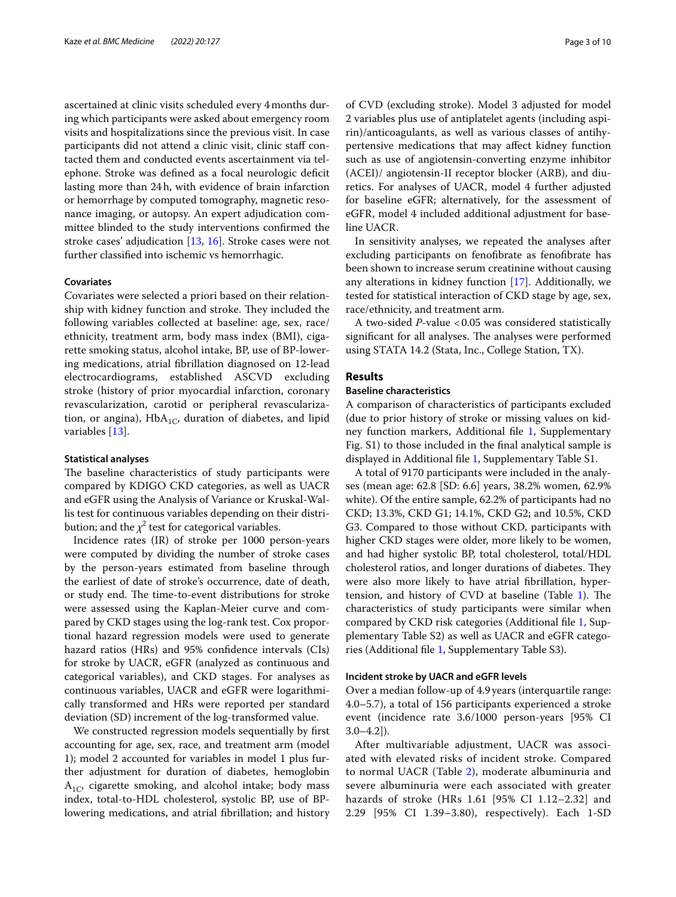ascertained at clinic visits scheduled every 4months during which participants were asked about emergency room visits and hospitalizations since the previous visit. In case participants did not attend a clinic visit, clinic staff contacted them and conducted events ascertainment via telephone. Stroke was defned as a focal neurologic defcit lasting more than 24h, with evidence of brain infarction or hemorrhage by computed tomography, magnetic resonance imaging, or autopsy. An expert adjudication committee blinded to the study interventions confrmed the stroke cases' adjudication [[13,](#page-9-3) [16\]](#page-9-6). Stroke cases were not further classifed into ischemic vs hemorrhagic.

#### **Covariates**

Covariates were selected a priori based on their relationship with kidney function and stroke. They included the following variables collected at baseline: age, sex, race/ ethnicity, treatment arm, body mass index (BMI), cigarette smoking status, alcohol intake, BP, use of BP-lowering medications, atrial fbrillation diagnosed on 12-lead electrocardiograms, established ASCVD excluding stroke (history of prior myocardial infarction, coronary revascularization, carotid or peripheral revascularization, or angina),  $HbA_{1C}$ , duration of diabetes, and lipid variables [[13\]](#page-9-3).

#### **Statistical analyses**

The baseline characteristics of study participants were compared by KDIGO CKD categories, as well as UACR and eGFR using the Analysis of Variance or Kruskal-Wallis test for continuous variables depending on their distribution; and the  $\chi^2$  test for categorical variables.

Incidence rates (IR) of stroke per 1000 person-years were computed by dividing the number of stroke cases by the person-years estimated from baseline through the earliest of date of stroke's occurrence, date of death, or study end. The time-to-event distributions for stroke were assessed using the Kaplan-Meier curve and compared by CKD stages using the log-rank test. Cox proportional hazard regression models were used to generate hazard ratios (HRs) and 95% confdence intervals (CIs) for stroke by UACR, eGFR (analyzed as continuous and categorical variables), and CKD stages. For analyses as continuous variables, UACR and eGFR were logarithmically transformed and HRs were reported per standard deviation (SD) increment of the log-transformed value.

We constructed regression models sequentially by frst accounting for age, sex, race, and treatment arm (model 1); model 2 accounted for variables in model 1 plus further adjustment for duration of diabetes, hemoglobin  $A_{1C}$ , cigarette smoking, and alcohol intake; body mass index, total-to-HDL cholesterol, systolic BP, use of BPlowering medications, and atrial fbrillation; and history of CVD (excluding stroke). Model 3 adjusted for model 2 variables plus use of antiplatelet agents (including aspirin)/anticoagulants, as well as various classes of antihypertensive medications that may afect kidney function such as use of angiotensin-converting enzyme inhibitor (ACEI)/ angiotensin-II receptor blocker (ARB), and diuretics. For analyses of UACR, model 4 further adjusted for baseline eGFR; alternatively, for the assessment of eGFR, model 4 included additional adjustment for baseline UACR.

In sensitivity analyses, we repeated the analyses after excluding participants on fenofbrate as fenofbrate has been shown to increase serum creatinine without causing any alterations in kidney function [[17\]](#page-9-7). Additionally, we tested for statistical interaction of CKD stage by age, sex, race/ethnicity, and treatment arm.

A two-sided *P*-value <0.05 was considered statistically significant for all analyses. The analyses were performed using STATA 14.2 (Stata, Inc., College Station, TX).

# **Results**

# **Baseline characteristics**

A comparison of characteristics of participants excluded (due to prior history of stroke or missing values on kidney function markers, Additional fle [1](#page-8-6), Supplementary Fig. S1) to those included in the fnal analytical sample is displayed in Additional fle [1](#page-8-6), Supplementary Table S1.

A total of 9170 participants were included in the analyses (mean age: 62.8 [SD: 6.6] years, 38.2% women, 62.9% white). Of the entire sample, 62.2% of participants had no CKD; 13.3%, CKD G1; 14.1%, CKD G2; and 10.5%, CKD G3. Compared to those without CKD, participants with higher CKD stages were older, more likely to be women, and had higher systolic BP, total cholesterol, total/HDL cholesterol ratios, and longer durations of diabetes. They were also more likely to have atrial fbrillation, hypertension, and history of CVD at baseline (Table  $1$ ). The characteristics of study participants were similar when compared by CKD risk categories (Additional fle [1,](#page-8-6) Supplementary Table S2) as well as UACR and eGFR categories (Additional fle [1](#page-8-6), Supplementary Table S3).

### **Incident stroke by UACR and eGFR levels**

Over a median follow-up of 4.9years (interquartile range: 4.0–5.7), a total of 156 participants experienced a stroke event (incidence rate 3.6/1000 person-years [95% CI  $3.0-4.2$ ]).

After multivariable adjustment, UACR was associated with elevated risks of incident stroke. Compared to normal UACR (Table [2\)](#page-4-0), moderate albuminuria and severe albuminuria were each associated with greater hazards of stroke (HRs 1.61 [95% CI 1.12–2.32] and 2.29 [95% CI 1.39–3.80), respectively). Each 1-SD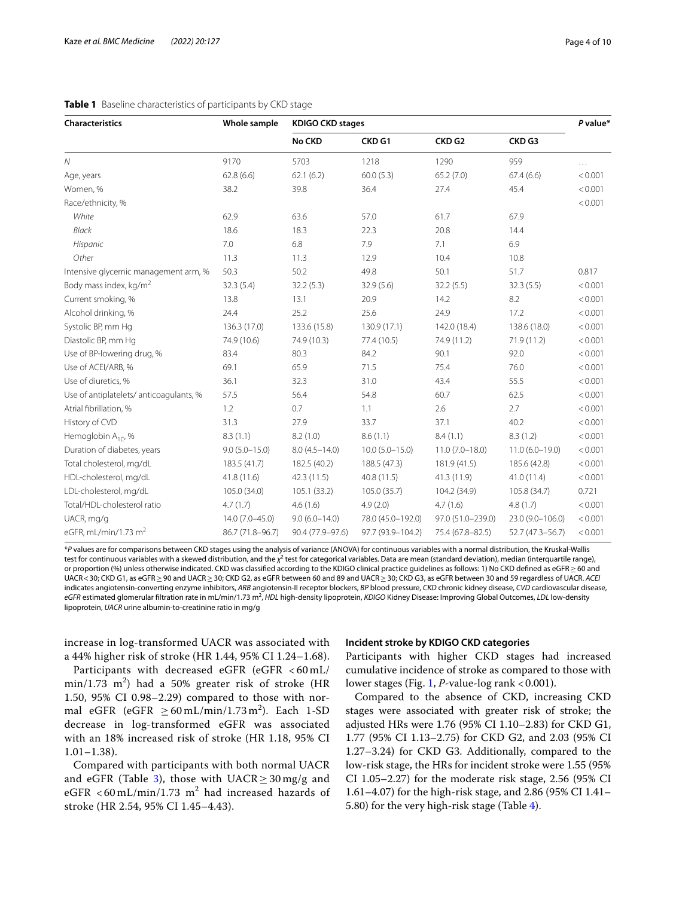| Characteristics                        | Whole sample     | <b>KDIGO CKD stages</b> |                     |                    |                   |         |  |
|----------------------------------------|------------------|-------------------------|---------------------|--------------------|-------------------|---------|--|
|                                        |                  | No CKD                  | CKD <sub>G1</sub>   | CKD <sub>G2</sub>  | CKD <sub>G3</sub> |         |  |
| $\mathcal N$                           | 9170             | 5703                    | 1218                | 1290               | 959               | .       |  |
| Age, years                             | 62.8(6.6)        | 62.1(6.2)               | 60.0(5.3)           | 65.2(7.0)          | 67.4(6.6)         | < 0.001 |  |
| Women, %                               | 38.2             | 39.8                    | 36.4                | 27.4               | 45.4              | < 0.001 |  |
| Race/ethnicity, %                      |                  |                         |                     |                    |                   | < 0.001 |  |
| White                                  | 62.9             | 63.6                    | 57.0                | 61.7               | 67.9              |         |  |
| Black                                  | 18.6             | 18.3                    | 22.3                | 20.8               | 14.4              |         |  |
| Hispanic                               | 7.0              | 6.8                     | 7.9                 | 7.1                | 6.9               |         |  |
| Other                                  | 11.3             | 11.3                    | 12.9                | 10.4               | 10.8              |         |  |
| Intensive glycemic management arm, %   | 50.3             | 50.2                    | 49.8                | 50.1               | 51.7              | 0.817   |  |
| Body mass index, kg/m <sup>2</sup>     | 32.3(5.4)        | 32.2(5.3)               | 32.9(5.6)           | 32.2(5.5)          | 32.3(5.5)         | < 0.001 |  |
| Current smoking, %                     | 13.8             | 13.1                    | 20.9                | 14.2               | 8.2               | < 0.001 |  |
| Alcohol drinking, %                    | 24.4             | 25.2                    | 25.6                | 24.9               | 17.2              | < 0.001 |  |
| Systolic BP, mm Hq                     | 136.3 (17.0)     | 133.6 (15.8)            | 130.9 (17.1)        | 142.0 (18.4)       | 138.6 (18.0)      | < 0.001 |  |
| Diastolic BP, mm Hq                    | 74.9 (10.6)      | 74.9 (10.3)             | 77.4 (10.5)         | 74.9 (11.2)        | 71.9 (11.2)       | < 0.001 |  |
| Use of BP-lowering drug, %             | 83.4             | 80.3                    | 84.2                | 90.1               | 92.0              | < 0.001 |  |
| Use of ACEI/ARB, %                     | 69.1             | 65.9                    | 71.5                | 75.4               | 76.0              | < 0.001 |  |
| Use of diuretics, %                    | 36.1             | 32.3                    | 31.0                | 43.4               | 55.5              | < 0.001 |  |
| Use of antiplatelets/anticoagulants, % | 57.5             | 56.4                    | 54.8                | 60.7               | 62.5              | < 0.001 |  |
| Atrial fibrillation, %                 | 1.2              | 0.7                     | 1.1                 | 2.6                | 2.7               | < 0.001 |  |
| History of CVD                         | 31.3             | 27.9                    | 33.7                | 37.1               | 40.2              | < 0.001 |  |
| Hemoglobin $A_{1C}$ , %                | 8.3(1.1)         | 8.2(1.0)                | 8.6(1.1)            | 8.4(1.1)           | 8.3(1.2)          | < 0.001 |  |
| Duration of diabetes, years            | $9.0(5.0-15.0)$  | $8.0(4.5 - 14.0)$       | $10.0 (5.0 - 15.0)$ | $11.0(7.0 - 18.0)$ | $11.0(6.0-19.0)$  | < 0.001 |  |
| Total cholesterol, mg/dL               | 183.5 (41.7)     | 182.5 (40.2)            | 188.5 (47.3)        | 181.9 (41.5)       | 185.6 (42.8)      | < 0.001 |  |
| HDL-cholesterol, mg/dL                 | 41.8 (11.6)      | 42.3 (11.5)             | 40.8(11.5)          | 41.3 (11.9)        | 41.0(11.4)        | < 0.001 |  |
| LDL-cholesterol, mg/dL                 | 105.0 (34.0)     | 105.1 (33.2)            | 105.0 (35.7)        | 104.2 (34.9)       | 105.8 (34.7)      | 0.721   |  |
| Total/HDL-cholesterol ratio            | 4.7(1.7)         | 4.6(1.6)                | 4.9(2.0)            | 4.7(1.6)           | 4.8(1.7)          | < 0.001 |  |
| UACR, mg/g                             | 14.0 (7.0-45.0)  | $9.0(6.0 - 14.0)$       | 78.0 (45.0-192.0)   | 97.0 (51.0-239.0)  | 23.0 (9.0-106.0)  | < 0.001 |  |
| eGFR, mL/min/1.73 $m2$                 | 86.7 (71.8-96.7) | 90.4 (77.9-97.6)        | 97.7 (93.9-104.2)   | 75.4 (67.8-82.5)   | 52.7 (47.3-56.7)  | < 0.001 |  |

#### <span id="page-3-0"></span>**Table 1** Baseline characteristics of participants by CKD stage

\**P* values are for comparisons between CKD stages using the analysis of variance (ANOVA) for continuous variables with a normal distribution, the Kruskal-Wallis test for continuous variables with a skewed distribution, and the *χ*<sup>2</sup> test for categorical variables. Data are mean (standard deviation), median (interquartile range), or proportion (%) unless otherwise indicated. CKD was classified according to the KDIGO clinical practice guidelines as follows: 1) No CKD defined as eGFR≥60 and UACR<30; CKD G1, as eGFR≥90 and UACR≥30; CKD G2, as eGFR between 60 and 89 and UACR≥30; CKD G3, as eGFR between 30 and 59 regardless of UACR. *ACEI* indicates angiotensin-converting enzyme inhibitors, *ARB* angiotensin-II receptor blockers, *BP* blood pressure, *CKD* chronic kidney disease, *CVD* cardiovascular disease, eGFR estimated glomerular filtration rate in mL/min/1.73 m<sup>2</sup>, *HDL* high-density lipoprotein, *KDIGO* Kidney Disease: Improving Global Outcomes, *LDL* low-density lipoprotein, *UACR* urine albumin-to-creatinine ratio in mg/g

increase in log-transformed UACR was associated with a 44% higher risk of stroke (HR 1.44, 95% CI 1.24–1.68).

Participants with decreased eGFR (eGFR < 60 mL/  $\text{min}/1.73 \text{ m}^2$ ) had a 50% greater risk of stroke (HR 1.50, 95% CI 0.98–2.29) compared to those with normal eGFR (eGFR  $\geq 60 \text{ mL/min}/1.73 \text{ m}^2$ ). Each 1-SD decrease in log-transformed eGFR was associated with an 18% increased risk of stroke (HR 1.18, 95% CI 1.01–1.38).

Compared with participants with both normal UACR and eGFR (Table [3](#page-5-0)), those with  $UACR \ge 30$  mg/g and eGFR  $<$  60 mL/min/1.73 m<sup>2</sup> had increased hazards of stroke (HR 2.54, 95% CI 1.45–4.43).

### **Incident stroke by KDIGO CKD categories**

Participants with higher CKD stages had increased cumulative incidence of stroke as compared to those with lower stages (Fig. [1](#page-6-0), *P*-value-log rank < 0.001).

Compared to the absence of CKD, increasing CKD stages were associated with greater risk of stroke; the adjusted HRs were 1.76 (95% CI 1.10–2.83) for CKD G1, 1.77 (95% CI 1.13–2.75) for CKD G2, and 2.03 (95% CI 1.27–3.24) for CKD G3. Additionally, compared to the low-risk stage, the HRs for incident stroke were 1.55 (95% CI 1.05–2.27) for the moderate risk stage, 2.56 (95% CI 1.61–4.07) for the high-risk stage, and 2.86 (95% CI 1.41– 5.80) for the very high-risk stage (Table [4\)](#page-7-0).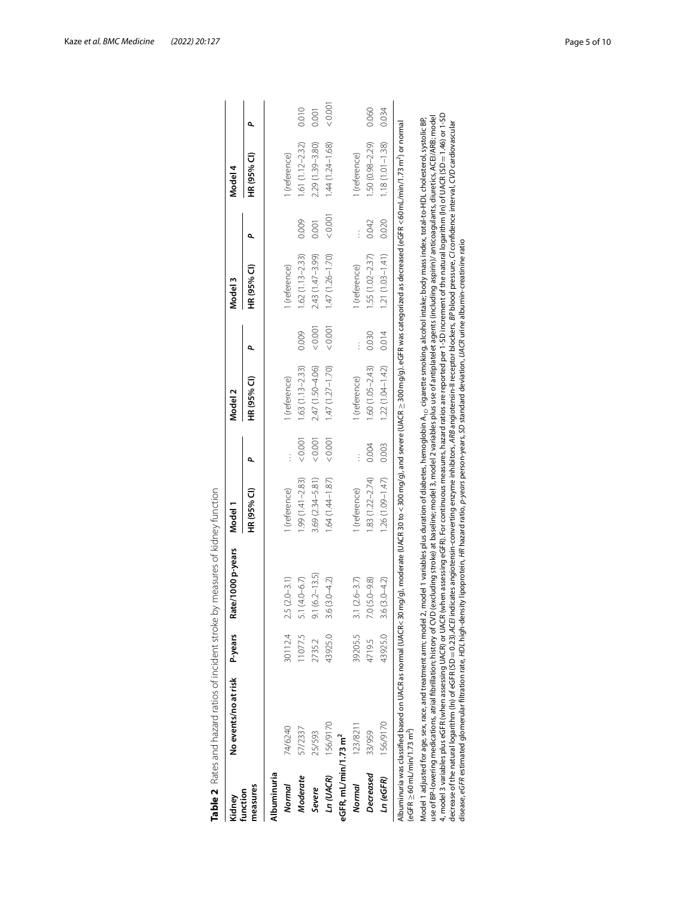| Kidney                                          | No events/no at risk                                                                                                                                                                                                                                                                                                                                                                                                                                | P-years | Rate/1000 p-years                 | Model 1             |         | Model 2             |        | Model 3             |        | Model 4             |       |
|-------------------------------------------------|-----------------------------------------------------------------------------------------------------------------------------------------------------------------------------------------------------------------------------------------------------------------------------------------------------------------------------------------------------------------------------------------------------------------------------------------------------|---------|-----------------------------------|---------------------|---------|---------------------|--------|---------------------|--------|---------------------|-------|
| measures<br>function                            |                                                                                                                                                                                                                                                                                                                                                                                                                                                     |         |                                   | HR (95% Cl)         | ዺ       | HR (95% Cl)         | ۵      | HR (95% CI)         | Q,     | HR (95% Cl)         | ۹     |
| Albuminuria                                     |                                                                                                                                                                                                                                                                                                                                                                                                                                                     |         |                                   |                     |         |                     |        |                     |        |                     |       |
| Normal                                          | 74/6240                                                                                                                                                                                                                                                                                                                                                                                                                                             | 30112.4 | $(2.0 - 3.1)$<br>2.5 <sub>1</sub> | 1 (reference)       |         | 1 (reference)       |        | 1 (reference)       |        | 1 (reference)       |       |
| Moderate                                        | 57/2337                                                                                                                                                                                                                                                                                                                                                                                                                                             | 11077.5 | $(4.0 - 6.7)$<br>5.1              | $1.99(1.41 - 2.83)$ | &0.001  | $1.63(1.13 - 2.33)$ | 0.009  | $1.62(1.13 - 2.33)$ | 0.009  | $1.61(1.12 - 2.32)$ | 0.010 |
| Severe                                          | 25/593                                                                                                                                                                                                                                                                                                                                                                                                                                              | 2735.2  | $9.1(6.2 - 13.5)$                 | $3.69(2.34 - 5.81)$ | 0.001   | 2.47 (1.50-4.06)    | &0.001 | $2.43(1.47 - 3.99)$ | 0.001  | $2.29(1.39 - 3.80)$ | 0.001 |
| In (UACR)                                       | 156/9170                                                                                                                                                                                                                                                                                                                                                                                                                                            | 43925.0 | $(3.0 - 4.2)$<br>3.6(             | $1.64(1.44 - 1.87)$ | < 0.001 | $1.47(1.27 - 1.70)$ | &0.001 | $1.47(1.26 - 1.70)$ | &0.001 | $1.44(1.24 - 1.68)$ | 0.001 |
| eGFR, mL/min/1.73 m <sup>2</sup>                |                                                                                                                                                                                                                                                                                                                                                                                                                                                     |         |                                   |                     |         |                     |        |                     |        |                     |       |
| Normal                                          | 123/8211                                                                                                                                                                                                                                                                                                                                                                                                                                            | 39205.5 | $3.1 (2.6 - 3.7)$                 | 1 (reference)       |         | 1 (reference)       |        | 1 (reference)       |        | 1 (reference)       |       |
| Decreased                                       | 33/959                                                                                                                                                                                                                                                                                                                                                                                                                                              | 4719.5  | $7.0(S.0 - 9.8)$                  | $1.83(1.22 - 2.74)$ | 0.004   | $.60(1.05 - 2.43)$  | 0.030  | $1.55(1.02 - 2.37)$ | 0.042  | $1.50(0.98 - 2.29)$ | 0.060 |
| Ln (eGFR)                                       | 156/9170                                                                                                                                                                                                                                                                                                                                                                                                                                            | 43925.0 | $3.6(3.0 - 4.2)$                  | $1.26(1.09 - 1.47)$ | 0.003   | $1.22(1.04 - 1.42)$ | 0.014  | $1.21(1.03 - 1.41)$ | 0.020  | $1.18(1.01 - 1.38)$ | 0.034 |
| $(eGFR \ge 60 \text{ mL/min}/1.73 \text{ m}^2)$ | Albuminuria was classified based on UACR as normal (UACR<30 mg/g), moderate (UACR 30 to <300 mg/g), and severe (UACR $\geq$ 300 mg/g). eGFR was categorized as decreased (eGFR <60 mL/min/1.73 m^) or normal                                                                                                                                                                                                                                        |         |                                   |                     |         |                     |        |                     |        |                     |       |
|                                                 | Model 1 adjusted for age, sex, race, and treatment arm; model 2, model 2, model 1 variables plus duration of diabetes, hemoglobin A, , cigarette smoking, alcohol intake; body mass index, total-to-HDL cholesterol, systolic                                                                                                                                                                                                                       |         |                                   |                     |         |                     |        |                     |        |                     |       |
|                                                 | 4, model 3 variables plus eGFR (when assessing UACR) or UACR (when assessing eGFR). For continuous measures, hazard ratios are reported per 1-SD increment of the natural logarithm (In) of UACR (SD=1.46) or 1-SD<br>use of BP-lowering medications, atrial fibrillation; history of CVD (excluding stroke) at baseline; model 3, model 2 variables plus use of antiplatelet agents (including apirin)/ anticoagulants, diuretics, ACEI/ARB; model |         |                                   |                     |         |                     |        |                     |        |                     |       |
|                                                 | decrease of the natural logarithm (In) of eGFR (SD = 0.23).ACE/indicates angiotensin-converting enzyme inhibitors, ARB angiotensin-ll receptor blockers, BP blood pressure, C/ confidence interval, CI/D cardiovascular<br>disease, eGFR estimated glomerular filtration rate, HDL high-density lipoprotein, HR hazard ratio, <i>pyeors</i> person-years, SD standard deviation, UACR urine albumin-creatinine ratio                                |         |                                   |                     |         |                     |        |                     |        |                     |       |
|                                                 |                                                                                                                                                                                                                                                                                                                                                                                                                                                     |         |                                   |                     |         |                     |        |                     |        |                     |       |

<span id="page-4-0"></span>

|        | Ņ<br>j<br>ì         |              |
|--------|---------------------|--------------|
| ī<br>í | .<br>.<br>.         |              |
|        | ۲<br>با             |              |
|        | $\frac{1}{4}$       | j            |
|        | ころへん こうこうしょう しょうきょう | )            |
|        | てい                  | j            |
|        |                     |              |
| t      |                     |              |
|        | ble 2               | -<br> <br> } |
| j      |                     |              |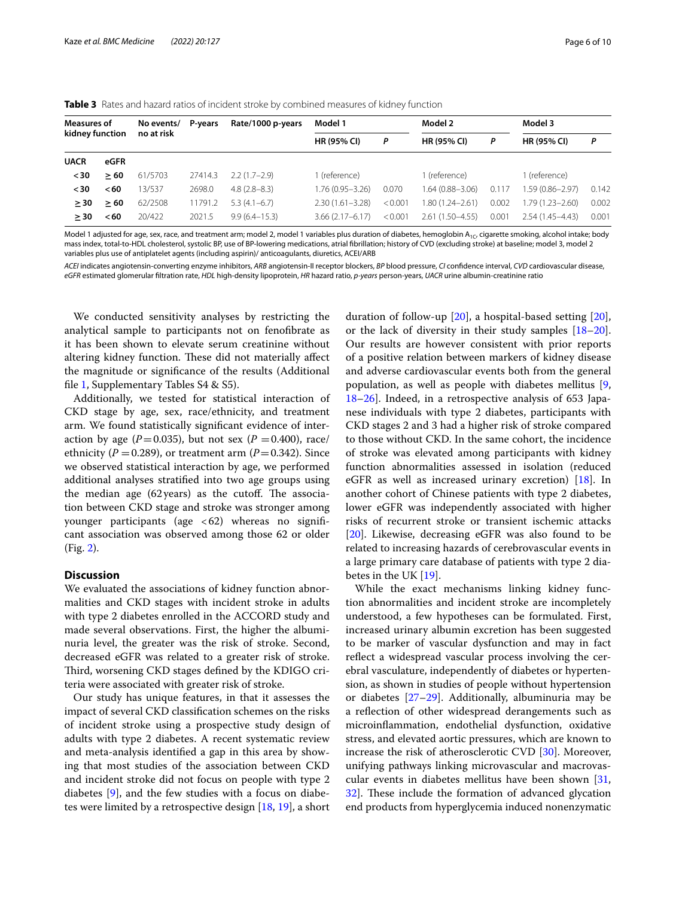| <b>Measures of</b> |      | No events/ | P-vears | Rate/1000 p-years | Model 1             |         | Model 2            |       | Model 3             |       |
|--------------------|------|------------|---------|-------------------|---------------------|---------|--------------------|-------|---------------------|-------|
| kidney function    |      | no at risk |         |                   | <b>HR (95% CI)</b>  | P       | <b>HR (95% CI)</b> | P     | <b>HR (95% CI)</b>  | P     |
| <b>UACR</b>        | eGFR |            |         |                   |                     |         |                    |       |                     |       |
| $30$               | > 60 | 61/5703    | 27414.3 | $2.2(1.7-2.9)$    | l (reference)       |         | l (reference)      |       | 1 (reference)       |       |
| $30$               | < 60 | 13/537     | 2698.0  | $4.8(2.8-8.3)$    | 1.76 (0.95–3.26)    | 0.070   | 1.64 (0.88-3.06)   | 0.117 | 1.59 (0.86-2.97)    | 0.142 |
| > 30               | > 60 | 62/2508    | 11791.2 | $5.3(4.1-6.7)$    | $2.30(1.61 - 3.28)$ | < 0.001 | 80 (1.24 - 2.61)   | 0.002 | $1.79(1.23 - 2.60)$ | 0.002 |
| > 30               | < 60 | 20/422     | 2021.5  | $9.9(6.4 - 15.3)$ | $3.66(2.17-6.17)$   | < 0.001 | $2.61(1.50-4.55)$  | 0.001 | $2.54(1.45 - 4.43)$ | 0.001 |

<span id="page-5-0"></span>**Table 3** Rates and hazard ratios of incident stroke by combined measures of kidney function

Model 1 adjusted for age, sex, race, and treatment arm; model 2, model 1 variables plus duration of diabetes, hemoglobin A<sub>1C</sub>, cigarette smoking, alcohol intake; body mass index, total-to-HDL cholesterol, systolic BP, use of BP-lowering medications, atrial fbrillation; history of CVD (excluding stroke) at baseline; model 3, model 2 variables plus use of antiplatelet agents (including aspirin)/ anticoagulants, diuretics, ACEI/ARB

*ACEI* indicates angiotensin-converting enzyme inhibitors, *ARB* angiotensin-II receptor blockers, *BP* blood pressure, *CI* confdence interval, *CVD* cardiovascular disease, *eGFR* estimated glomerular fltration rate, *HDL* high-density lipoprotein, *HR* hazard ratio, *p-years* person-years, *UACR* urine albumin-creatinine ratio

We conducted sensitivity analyses by restricting the analytical sample to participants not on fenofbrate as it has been shown to elevate serum creatinine without altering kidney function. These did not materially affect the magnitude or signifcance of the results (Additional fle [1](#page-8-6), Supplementary Tables S4 & S5).

Additionally, we tested for statistical interaction of CKD stage by age, sex, race/ethnicity, and treatment arm. We found statistically signifcant evidence of interaction by age ( $P=0.035$ ), but not sex ( $P=0.400$ ), race/ ethnicity ( $P = 0.289$ ), or treatment arm ( $P = 0.342$ ). Since we observed statistical interaction by age, we performed additional analyses stratifed into two age groups using the median age  $(62 \text{ years})$  as the cutoff. The association between CKD stage and stroke was stronger among younger participants (age  $< 62$ ) whereas no significant association was observed among those 62 or older (Fig. [2\)](#page-7-1).

# **Discussion**

We evaluated the associations of kidney function abnormalities and CKD stages with incident stroke in adults with type 2 diabetes enrolled in the ACCORD study and made several observations. First, the higher the albuminuria level, the greater was the risk of stroke. Second, decreased eGFR was related to a greater risk of stroke. Third, worsening CKD stages defined by the KDIGO criteria were associated with greater risk of stroke.

Our study has unique features, in that it assesses the impact of several CKD classifcation schemes on the risks of incident stroke using a prospective study design of adults with type 2 diabetes. A recent systematic review and meta-analysis identifed a gap in this area by showing that most studies of the association between CKD and incident stroke did not focus on people with type 2 diabetes [[9\]](#page-9-0), and the few studies with a focus on diabetes were limited by a retrospective design [\[18](#page-9-8), [19\]](#page-9-9), a short

duration of follow-up [\[20](#page-9-10)], a hospital-based setting [\[20](#page-9-10)], or the lack of diversity in their study samples [[18](#page-9-8)[–20](#page-9-10)]. Our results are however consistent with prior reports of a positive relation between markers of kidney disease and adverse cardiovascular events both from the general population, as well as people with diabetes mellitus [\[9](#page-9-0), [18](#page-9-8)[–26](#page-9-11)]. Indeed, in a retrospective analysis of 653 Japanese individuals with type 2 diabetes, participants with CKD stages 2 and 3 had a higher risk of stroke compared to those without CKD. In the same cohort, the incidence of stroke was elevated among participants with kidney function abnormalities assessed in isolation (reduced eGFR as well as increased urinary excretion) [[18](#page-9-8)]. In another cohort of Chinese patients with type 2 diabetes, lower eGFR was independently associated with higher risks of recurrent stroke or transient ischemic attacks [[20\]](#page-9-10). Likewise, decreasing eGFR was also found to be related to increasing hazards of cerebrovascular events in a large primary care database of patients with type 2 diabetes in the UK [\[19](#page-9-9)].

While the exact mechanisms linking kidney function abnormalities and incident stroke are incompletely understood, a few hypotheses can be formulated. First, increased urinary albumin excretion has been suggested to be marker of vascular dysfunction and may in fact refect a widespread vascular process involving the cerebral vasculature, independently of diabetes or hypertension, as shown in studies of people without hypertension or diabetes [[27–](#page-9-12)[29](#page-9-13)]. Additionally, albuminuria may be a refection of other widespread derangements such as microinfammation, endothelial dysfunction, oxidative stress, and elevated aortic pressures, which are known to increase the risk of atherosclerotic CVD [\[30](#page-9-14)]. Moreover, unifying pathways linking microvascular and macrovascular events in diabetes mellitus have been shown [[31](#page-9-15), [32\]](#page-9-16). These include the formation of advanced glycation end products from hyperglycemia induced nonenzymatic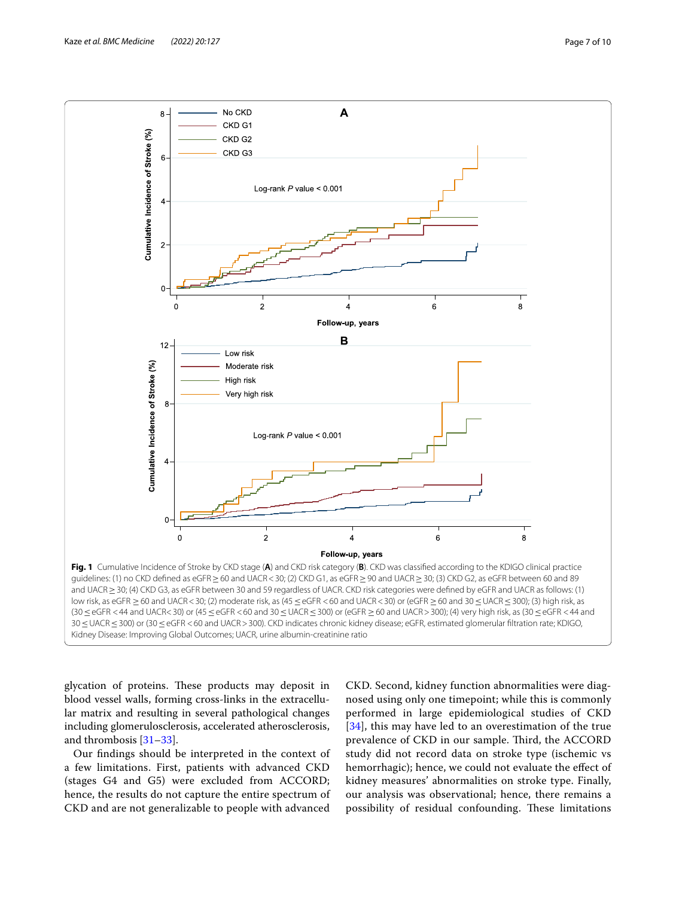

<span id="page-6-0"></span>glycation of proteins. These products may deposit in blood vessel walls, forming cross-links in the extracellular matrix and resulting in several pathological changes including glomerulosclerosis, accelerated atherosclerosis, and thrombosis [\[31–](#page-9-15)[33\]](#page-9-17).

Our fndings should be interpreted in the context of a few limitations. First, patients with advanced CKD (stages G4 and G5) were excluded from ACCORD; hence, the results do not capture the entire spectrum of CKD and are not generalizable to people with advanced

CKD. Second, kidney function abnormalities were diagnosed using only one timepoint; while this is commonly performed in large epidemiological studies of CKD [[34](#page-9-18)], this may have led to an overestimation of the true prevalence of CKD in our sample. Third, the ACCORD study did not record data on stroke type (ischemic vs hemorrhagic); hence, we could not evaluate the efect of kidney measures' abnormalities on stroke type. Finally, our analysis was observational; hence, there remains a possibility of residual confounding. These limitations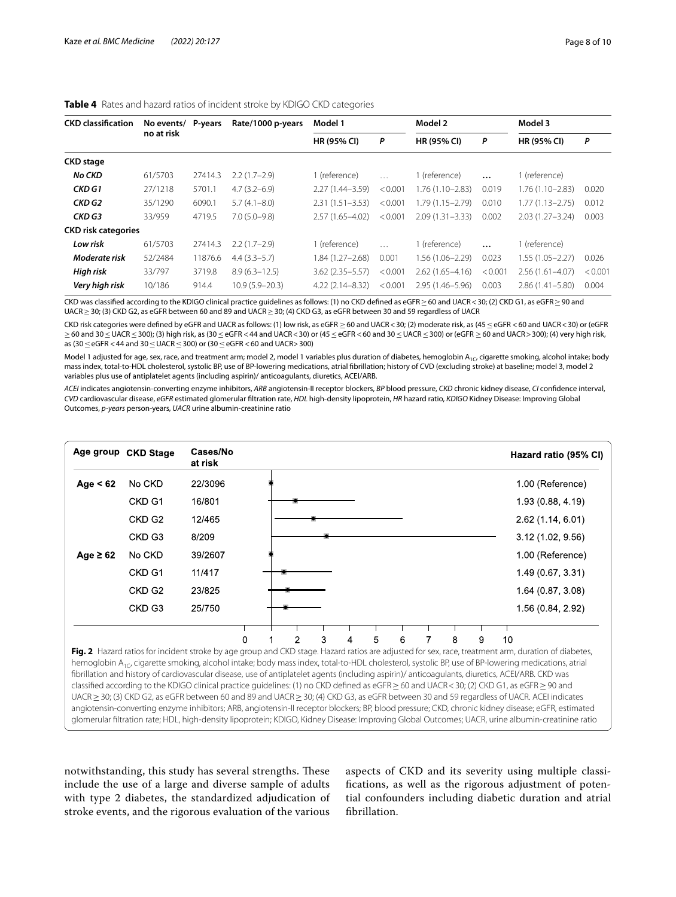| <b>CKD classification</b>  | No events/ | P-years | Rate/1000 p-years  | Model 1             |          | Model 2             |          | Model 3             |         |
|----------------------------|------------|---------|--------------------|---------------------|----------|---------------------|----------|---------------------|---------|
|                            | no at risk |         |                    | <b>HR (95% CI)</b>  | P        | <b>HR (95% CI)</b>  | P        | <b>HR (95% CI)</b>  | P       |
| <b>CKD</b> stage           |            |         |                    |                     |          |                     |          |                     |         |
| <b>No CKD</b>              | 61/5703    | 27414.3 | $2.2(1.7-2.9)$     | (reference)         | $\cdots$ | (reference)         | $\cdots$ | 1 (reference)       |         |
| CKD G1                     | 27/1218    | 5701.1  | $4.7(3.2 - 6.9)$   | $2.27(1.44 - 3.59)$ | < 0.001  | 1.76 (1.10–2.83)    | 0.019    | $1.76(1.10 - 2.83)$ | 0.020   |
| CKD G2                     | 35/1290    | 6090.1  | $5.7(4.1 - 8.0)$   | $2.31(1.51 - 3.53)$ | < 0.001  | 1.79 (1.15-2.79)    | 0.010    | $1.77(1.13 - 2.75)$ | 0.012   |
| CKD G3                     | 33/959     | 4719.5  | $7.0(5.0-9.8)$     | $2.57(1.65 - 4.02)$ | < 0.001  | $2.09(1.31 - 3.33)$ | 0.002    | $2.03(1.27 - 3.24)$ | 0.003   |
| <b>CKD risk categories</b> |            |         |                    |                     |          |                     |          |                     |         |
| Low risk                   | 61/5703    | 27414.3 | $2.2(1.7-2.9)$     | (reference)         | $\cdots$ | 1 (reference)       | $\cdots$ | 1 (reference)       |         |
| Moderate risk              | 52/2484    | 11876.6 | $4.4(3.3-5.7)$     | $.84(1.27 - 2.68)$  | 0.001    | 1.56 (1.06–2.29)    | 0.023    | $1.55(1.05 - 2.27)$ | 0.026   |
| High risk                  | 33/797     | 3719.8  | $8.9(6.3 - 12.5)$  | $3.62(2.35 - 5.57)$ | < 0.001  | $2.62(1.65 - 4.16)$ | < 0.001  | $2.56(1.61 - 4.07)$ | < 0.001 |
| Very high risk             | 10/186     | 914.4   | $10.9(5.9 - 20.3)$ | $4.22(2.14 - 8.32)$ | < 0.001  | $2.95(1.46 - 5.96)$ | 0.003    | $2.86(1.41 - 5.80)$ | 0.004   |

#### <span id="page-7-0"></span>**Table 4** Rates and hazard ratios of incident stroke by KDIGO CKD categories

CKD was classified according to the KDIGO clinical practice quidelines as follows: (1) no CKD defined as eGFR≥60 and UACR<30; (2) CKD G1, as eGFR≥90 and UACR ≥ 30; (3) CKD G2, as eGFR between 60 and 89 and UACR ≥ 30; (4) CKD G3, as eGFR between 30 and 59 regardless of UACR

CKD risk categories were defined by eGFR and UACR as follows: (1) low risk, as eGFR ≥ 60 and UACR < 30; (2) moderate risk, as (45 ≤ eGFR < 60 and UACR < 30) or (eGFR ≥60 and 30≤UACR≤300); (3) high risk, as (30≤eGFR <44 and UACR<30) or (45≤eGFR <60 and 30≤UACR≤300) or (eGFR ≥60 and UACR>300); (4) very high risk, as (30≤eGFR <44 and 30≤UACR≤300) or (30≤eGFR <60 and UACR>300)

Model 1 adjusted for age, sex, race, and treatment arm; model 2, model 1 variables plus duration of diabetes, hemoglobin A<sub>1C</sub>, cigarette smoking, alcohol intake; body mass index, total-to-HDL cholesterol, systolic BP, use of BP-lowering medications, atrial fbrillation; history of CVD (excluding stroke) at baseline; model 3, model 2 variables plus use of antiplatelet agents (including aspirin)/ anticoagulants, diuretics, ACEI/ARB.

*ACEI* indicates angiotensin-converting enzyme inhibitors, *ARB* angiotensin-II receptor blockers, *BP* blood pressure, *CKD* chronic kidney disease, *CI* confdence interval, *CVD* cardiovascular disease, *eGFR* estimated glomerular fltration rate, *HDL* high-density lipoprotein, *HR* hazard ratio, *KDIGO* Kidney Disease: Improving Global Outcomes, *p-years* person-years, *UACR* urine albumin-creatinine ratio



<span id="page-7-1"></span>UACR ≥ 30; (3) CKD G2, as eGFR between 60 and 89 and UACR ≥ 30; (4) CKD G3, as eGFR between 30 and 59 regardless of UACR. ACEI indicates angiotensin-converting enzyme inhibitors; ARB, angiotensin-II receptor blockers; BP, blood pressure; CKD, chronic kidney disease; eGFR, estimated glomerular fltration rate; HDL, high-density lipoprotein; KDIGO, Kidney Disease: Improving Global Outcomes; UACR, urine albumin-creatinine ratio

notwithstanding, this study has several strengths. These include the use of a large and diverse sample of adults with type 2 diabetes, the standardized adjudication of stroke events, and the rigorous evaluation of the various

aspects of CKD and its severity using multiple classifcations, as well as the rigorous adjustment of potential confounders including diabetic duration and atrial fbrillation.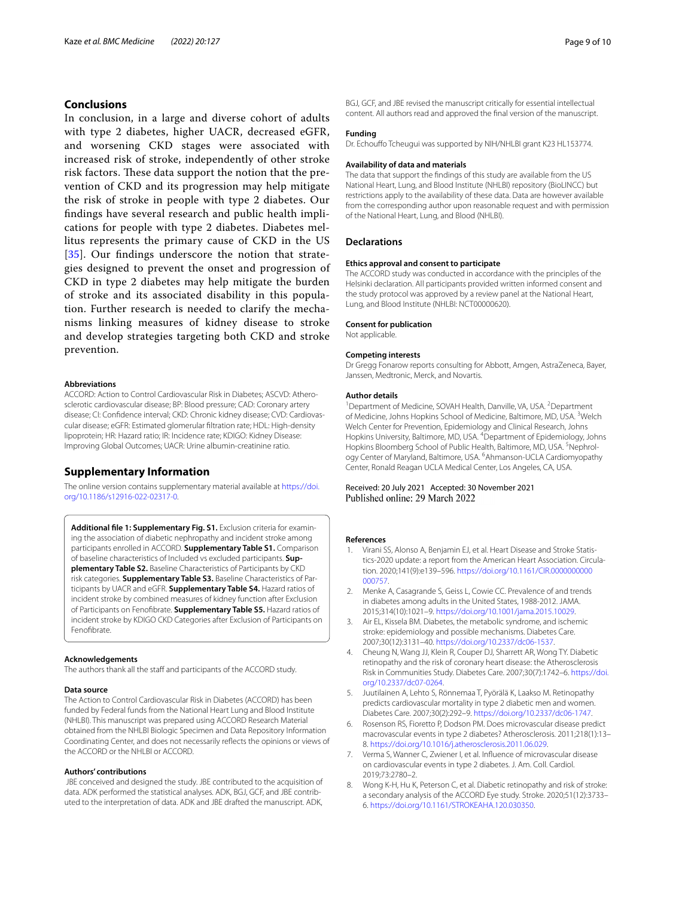# **Conclusions**

In conclusion, in a large and diverse cohort of adults with type 2 diabetes, higher UACR, decreased eGFR, and worsening CKD stages were associated with increased risk of stroke, independently of other stroke risk factors. These data support the notion that the prevention of CKD and its progression may help mitigate the risk of stroke in people with type 2 diabetes. Our fndings have several research and public health implications for people with type 2 diabetes. Diabetes mellitus represents the primary cause of CKD in the US [[35](#page-9-19)]. Our findings underscore the notion that strategies designed to prevent the onset and progression of CKD in type 2 diabetes may help mitigate the burden of stroke and its associated disability in this population. Further research is needed to clarify the mechanisms linking measures of kidney disease to stroke and develop strategies targeting both CKD and stroke prevention.

#### **Abbreviations**

ACCORD: Action to Control Cardiovascular Risk in Diabetes; ASCVD: Atherosclerotic cardiovascular disease; BP: Blood pressure; CAD: Coronary artery disease; CI: Confidence interval; CKD: Chronic kidney disease; CVD: Cardiovascular disease; eGFR: Estimated glomerular fltration rate; HDL: High-density lipoprotein; HR: Hazard ratio; IR: Incidence rate; KDIGO: Kidney Disease: Improving Global Outcomes; UACR: Urine albumin-creatinine ratio.

#### **Supplementary Information**

The online version contains supplementary material available at [https://doi.](https://doi.org/10.1186/s12916-022-02317-0) [org/10.1186/s12916-022-02317-0](https://doi.org/10.1186/s12916-022-02317-0).

<span id="page-8-6"></span>Additional file 1: Supplementary Fig. S1. Exclusion criteria for examining the association of diabetic nephropathy and incident stroke among participants enrolled in ACCORD. **Supplementary Table S1.** Comparison of baseline characteristics of Included vs excluded participants. **Supplementary Table S2.** Baseline Characteristics of Participants by CKD risk categories. **Supplementary Table S3.** Baseline Characteristics of Par‑ ticipants by UACR and eGFR. **Supplementary Table S4.** Hazard ratios of incident stroke by combined measures of kidney function after Exclusion of Participants on Fenofbrate. **Supplementary Table S5.** Hazard ratios of incident stroke by KDIGO CKD Categories after Exclusion of Participants on Fenofbrate.

#### **Acknowledgements**

The authors thank all the staff and participants of the ACCORD study.

#### **Data source**

The Action to Control Cardiovascular Risk in Diabetes (ACCORD) has been funded by Federal funds from the National Heart Lung and Blood Institute (NHLBI). This manuscript was prepared using ACCORD Research Material obtained from the NHLBI Biologic Specimen and Data Repository Information Coordinating Center, and does not necessarily refects the opinions or views of the ACCORD or the NHLBI or ACCORD.

#### **Authors' contributions**

 JBE conceived and designed the study. JBE contributed to the acquisition of data. ADK performed the statistical analyses. ADK, BGJ, GCF, and JBE contributed to the interpretation of data. ADK and JBE drafted the manuscript. ADK, BGJ, GCF, and JBE revised the manuscript critically for essential intellectual content. All authors read and approved the fnal version of the manuscript.

#### **Funding**

Dr. Echouffo Tcheugui was supported by NIH/NHLBI grant K23 HL153774.

#### **Availability of data and materials**

The data that support the fndings of this study are available from the US National Heart, Lung, and Blood Institute (NHLBI) repository (BioLINCC) but restrictions apply to the availability of these data. Data are however available from the corresponding author upon reasonable request and with permission of the National Heart, Lung, and Blood (NHLBI).

#### **Declarations**

#### **Ethics approval and consent to participate**

The ACCORD study was conducted in accordance with the principles of the Helsinki declaration. All participants provided written informed consent and the study protocol was approved by a review panel at the National Heart, Lung, and Blood Institute (NHLBI: NCT00000620).

#### **Consent for publication**

Not applicable.

#### **Competing interests**

Dr Gregg Fonarow reports consulting for Abbott, Amgen, AstraZeneca, Bayer, Janssen, Medtronic, Merck, and Novartis.

#### **Author details**

<sup>1</sup> Department of Medicine, SOVAH Health, Danville, VA, USA. <sup>2</sup> Department of Medicine, Johns Hopkins School of Medicine, Baltimore, MD, USA. <sup>3</sup>Welch Welch Center for Prevention, Epidemiology and Clinical Research, Johns Hopkins University, Baltimore, MD, USA. <sup>4</sup>Department of Epidemiology, Johns Hopkins Bloomberg School of Public Health, Baltimore, MD, USA. <sup>5</sup>Nephrology Center of Maryland, Baltimore, USA. <sup>6</sup> Ahmanson-UCLA Cardiomyopathy Center, Ronald Reagan UCLA Medical Center, Los Angeles, CA, USA.

#### Received: 20 July 2021 Accepted: 30 November 2021 Published online: 29 March 2022

#### **References**

- <span id="page-8-0"></span>1. Virani SS, Alonso A, Benjamin EJ, et al. Heart Disease and Stroke Statistics-2020 update: a report from the American Heart Association. Circulation. 2020;141(9):e139–596. [https://doi.org/10.1161/CIR.0000000000](https://doi.org/10.1161/CIR.0000000000000757) [000757.](https://doi.org/10.1161/CIR.0000000000000757)
- <span id="page-8-1"></span>Menke A, Casagrande S, Geiss L, Cowie CC. Prevalence of and trends in diabetes among adults in the United States, 1988-2012. JAMA. 2015;314(10):1021–9.<https://doi.org/10.1001/jama.2015.10029>.
- <span id="page-8-2"></span>3. Air EL, Kissela BM. Diabetes, the metabolic syndrome, and ischemic stroke: epidemiology and possible mechanisms. Diabetes Care. 2007;30(12):3131–40. [https://doi.org/10.2337/dc06-1537.](https://doi.org/10.2337/dc06-1537)
- <span id="page-8-3"></span>4. Cheung N, Wang JJ, Klein R, Couper DJ, Sharrett AR, Wong TY. Diabetic retinopathy and the risk of coronary heart disease: the Atherosclerosis Risk in Communities Study. Diabetes Care. 2007;30(7):1742–6. [https://doi.](https://doi.org/10.2337/dc07-0264) [org/10.2337/dc07-0264](https://doi.org/10.2337/dc07-0264).
- 5. Juutilainen A, Lehto S, Rönnemaa T, Pyörälä K, Laakso M. Retinopathy predicts cardiovascular mortality in type 2 diabetic men and women. Diabetes Care. 2007;30(2):292–9. [https://doi.org/10.2337/dc06-1747.](https://doi.org/10.2337/dc06-1747)
- 6. Rosenson RS, Fioretto P, Dodson PM. Does microvascular disease predict macrovascular events in type 2 diabetes? Atherosclerosis. 2011;218(1):13– 8. [https://doi.org/10.1016/j.atherosclerosis.2011.06.029.](https://doi.org/10.1016/j.atherosclerosis.2011.06.029)
- <span id="page-8-4"></span>7. Verma S, Wanner C, Zwiener I, et al. Infuence of microvascular disease on cardiovascular events in type 2 diabetes. J. Am. Coll. Cardiol. 2019;73:2780–2.
- <span id="page-8-5"></span>8. Wong K-H, Hu K, Peterson C, et al. Diabetic retinopathy and risk of stroke: a secondary analysis of the ACCORD Eye study. Stroke. 2020;51(12):3733– 6.<https://doi.org/10.1161/STROKEAHA.120.030350>.